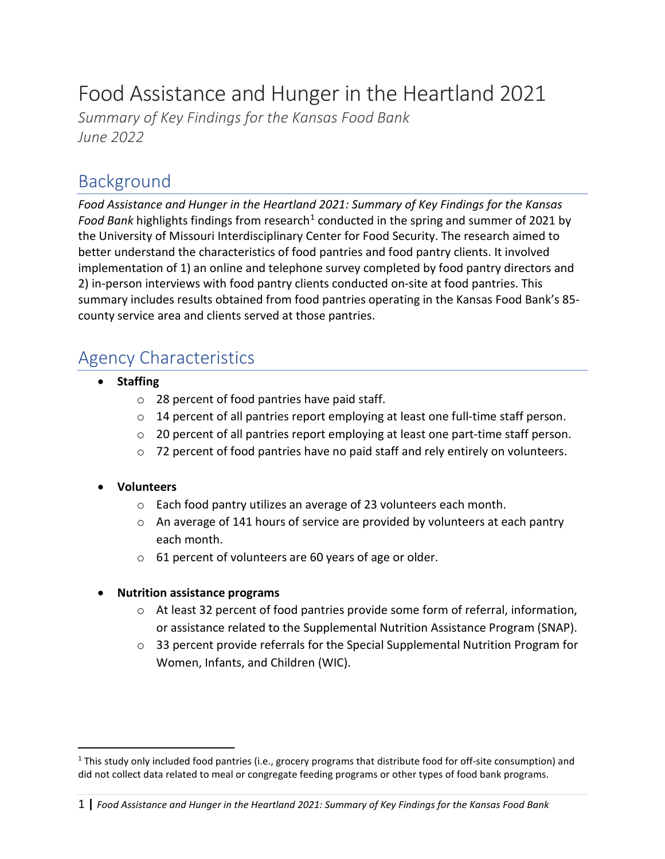# Food Assistance and Hunger in the Heartland 2021

*Summary of Key Findings for the Kansas Food Bank June 2022*

### Background

*Food Assistance and Hunger in the Heartland 2021: Summary of Key Findings for the Kansas*  Food Bank highlights findings from research<sup>[1](#page-0-0)</sup> conducted in the spring and summer of 2021 by the University of Missouri Interdisciplinary Center for Food Security. The research aimed to better understand the characteristics of food pantries and food pantry clients. It involved implementation of 1) an online and telephone survey completed by food pantry directors and 2) in-person interviews with food pantry clients conducted on-site at food pantries. This summary includes results obtained from food pantries operating in the Kansas Food Bank's 85 county service area and clients served at those pantries.

### Agency Characteristics

- **Staffing**
	- o 28 percent of food pantries have paid staff.
	- $\circ$  14 percent of all pantries report employing at least one full-time staff person.
	- $\circ$  20 percent of all pantries report employing at least one part-time staff person.
	- $\circ$  72 percent of food pantries have no paid staff and rely entirely on volunteers.

#### • **Volunteers**

- o Each food pantry utilizes an average of 23 volunteers each month.
- $\circ$  An average of 141 hours of service are provided by volunteers at each pantry each month.
- o 61 percent of volunteers are 60 years of age or older.

#### • **Nutrition assistance programs**

- o At least 32 percent of food pantries provide some form of referral, information, or assistance related to the Supplemental Nutrition Assistance Program (SNAP).
- $\circ$  33 percent provide referrals for the Special Supplemental Nutrition Program for Women, Infants, and Children (WIC).

<span id="page-0-0"></span> $1$  This study only included food pantries (i.e., grocery programs that distribute food for off-site consumption) and did not collect data related to meal or congregate feeding programs or other types of food bank programs.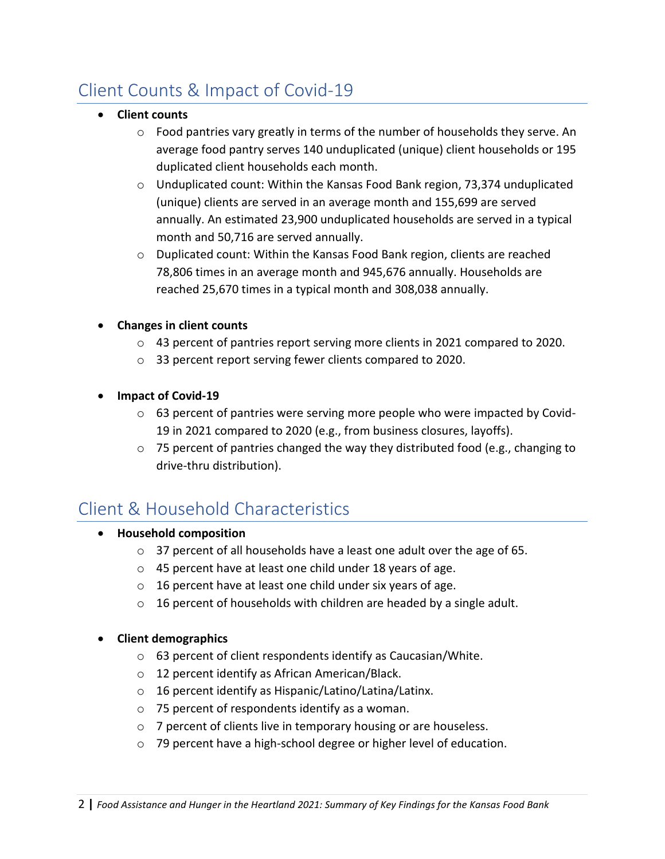## Client Counts & Impact of Covid-19

- **Client counts**
	- $\circ$  Food pantries vary greatly in terms of the number of households they serve. An average food pantry serves 140 unduplicated (unique) client households or 195 duplicated client households each month.
	- o Unduplicated count: Within the Kansas Food Bank region, 73,374 unduplicated (unique) clients are served in an average month and 155,699 are served annually. An estimated 23,900 unduplicated households are served in a typical month and 50,716 are served annually.
	- $\circ$  Duplicated count: Within the Kansas Food Bank region, clients are reached 78,806 times in an average month and 945,676 annually. Households are reached 25,670 times in a typical month and 308,038 annually.
- **Changes in client counts** 
	- o 43 percent of pantries report serving more clients in 2021 compared to 2020.
	- o 33 percent report serving fewer clients compared to 2020.
- **Impact of Covid-19**
	- $\circ$  63 percent of pantries were serving more people who were impacted by Covid-19 in 2021 compared to 2020 (e.g., from business closures, layoffs).
	- $\circ$  75 percent of pantries changed the way they distributed food (e.g., changing to drive-thru distribution).

## Client & Household Characteristics

- **Household composition**
	- o 37 percent of all households have a least one adult over the age of 65.
	- o 45 percent have at least one child under 18 years of age.
	- $\circ$  16 percent have at least one child under six years of age.
	- o 16 percent of households with children are headed by a single adult.

#### • **Client demographics**

- o 63 percent of client respondents identify as Caucasian/White.
- o 12 percent identify as African American/Black.
- o 16 percent identify as Hispanic/Latino/Latina/Latinx.
- o 75 percent of respondents identify as a woman.
- o 7 percent of clients live in temporary housing or are houseless.
- o 79 percent have a high-school degree or higher level of education.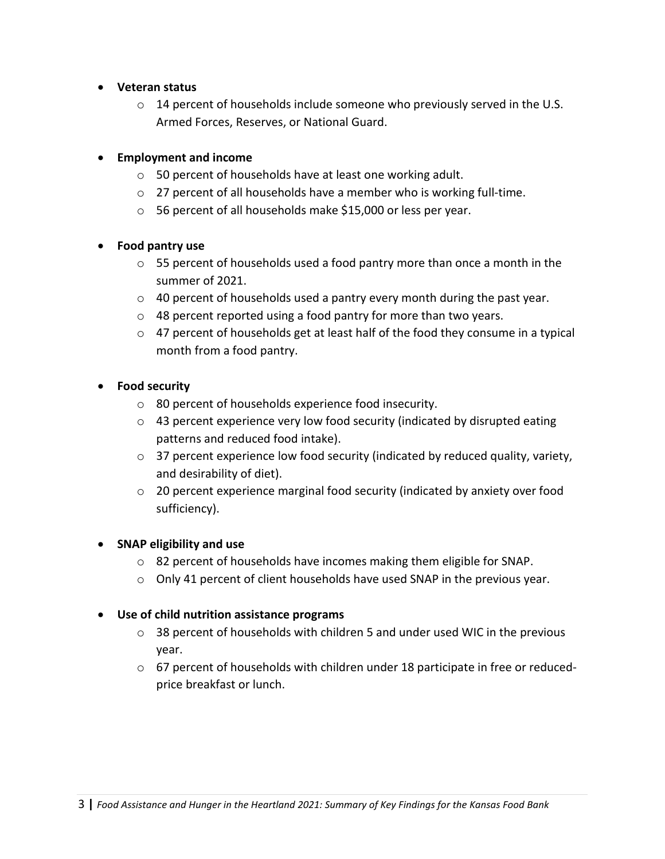- **Veteran status**
	- $\circ$  14 percent of households include someone who previously served in the U.S. Armed Forces, Reserves, or National Guard.

#### • **Employment and income**

- o 50 percent of households have at least one working adult.
- o 27 percent of all households have a member who is working full-time.
- o 56 percent of all households make \$15,000 or less per year.

#### • **Food pantry use**

- $\circ$  55 percent of households used a food pantry more than once a month in the summer of 2021.
- o 40 percent of households used a pantry every month during the past year.
- o 48 percent reported using a food pantry for more than two years.
- o 47 percent of households get at least half of the food they consume in a typical month from a food pantry.

#### • **Food security**

- o 80 percent of households experience food insecurity.
- $\circ$  43 percent experience very low food security (indicated by disrupted eating patterns and reduced food intake).
- o 37 percent experience low food security (indicated by reduced quality, variety, and desirability of diet).
- $\circ$  20 percent experience marginal food security (indicated by anxiety over food sufficiency).

#### • **SNAP eligibility and use**

- o 82 percent of households have incomes making them eligible for SNAP.
- $\circ$  Only 41 percent of client households have used SNAP in the previous year.

#### • **Use of child nutrition assistance programs**

- $\circ$  38 percent of households with children 5 and under used WIC in the previous year.
- $\circ$  67 percent of households with children under 18 participate in free or reducedprice breakfast or lunch.